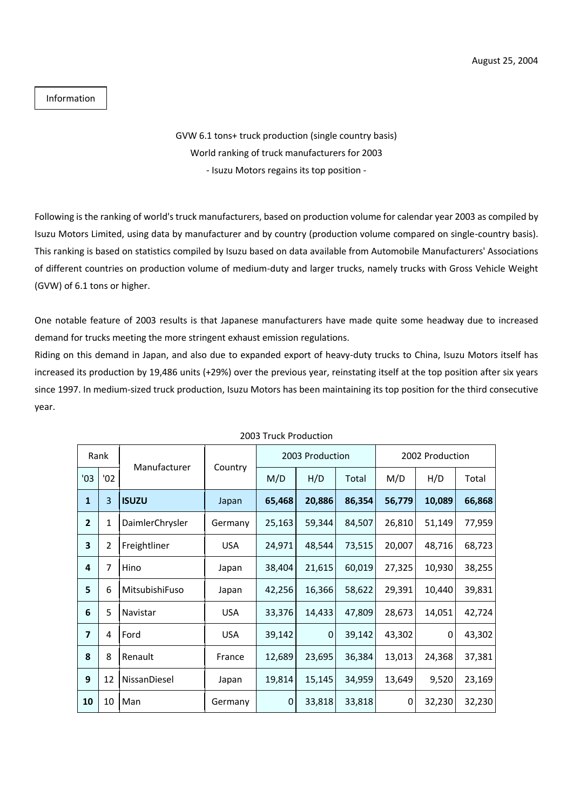## Information

## GVW 6.1 tons+ truck production (single country basis) World ranking of truck manufacturers for 2003 - Isuzu Motors regains its top position -

Following is the ranking of world's truck manufacturers, based on production volume for calendar year 2003 as compiled by Isuzu Motors Limited, using data by manufacturer and by country (production volume compared on single-country basis). This ranking is based on statistics compiled by Isuzu based on data available from Automobile Manufacturers' Associations of different countries on production volume of medium-duty and larger trucks, namely trucks with Gross Vehicle Weight (GVW) of 6.1 tons or higher.

One notable feature of 2003 results is that Japanese manufacturers have made quite some headway due to increased demand for trucks meeting the more stringent exhaust emission regulations.

Riding on this demand in Japan, and also due to expanded export of heavy-duty trucks to China, Isuzu Motors itself has increased its production by 19,486 units (+29%) over the previous year, reinstating itself at the top position after six years since 1997. In medium-sized truck production, Isuzu Motors has been maintaining its top position for the third consecutive year.

| Rank                    |     |                 |            | 2003 Production |        |        | 2002 Production |        |        |
|-------------------------|-----|-----------------|------------|-----------------|--------|--------|-----------------|--------|--------|
| '03                     | '02 | Manufacturer    | Country    | M/D             | H/D    | Total  | M/D             | H/D    | Total  |
| $\mathbf{1}$            | 3   | <b>ISUZU</b>    | Japan      | 65,468          | 20,886 | 86,354 | 56,779          | 10,089 | 66,868 |
| $\overline{2}$          | 1   | DaimlerChrysler | Germany    | 25,163          | 59,344 | 84,507 | 26,810          | 51,149 | 77,959 |
| $\overline{\mathbf{3}}$ | 2   | Freightliner    | <b>USA</b> | 24,971          | 48,544 | 73,515 | 20,007          | 48,716 | 68,723 |
| 4                       | 7   | Hino            | Japan      | 38,404          | 21,615 | 60,019 | 27,325          | 10,930 | 38,255 |
| 5                       | 6   | MitsubishiFuso  | Japan      | 42,256          | 16,366 | 58,622 | 29,391          | 10,440 | 39,831 |
| 6                       | 5   | Navistar        | <b>USA</b> | 33,376          | 14,433 | 47,809 | 28,673          | 14,051 | 42,724 |
| $\overline{7}$          | 4   | Ford            | <b>USA</b> | 39,142          | 0      | 39,142 | 43,302          | 0      | 43,302 |
| 8                       | 8   | Renault         | France     | 12,689          | 23,695 | 36,384 | 13,013          | 24,368 | 37,381 |
| 9                       | 12  | NissanDiesel    | Japan      | 19,814          | 15,145 | 34,959 | 13,649          | 9,520  | 23,169 |
| 10                      | 10  | Man             | Germany    | $\mathbf 0$     | 33,818 | 33,818 | 0               | 32,230 | 32,230 |

## 2003 Truck Production